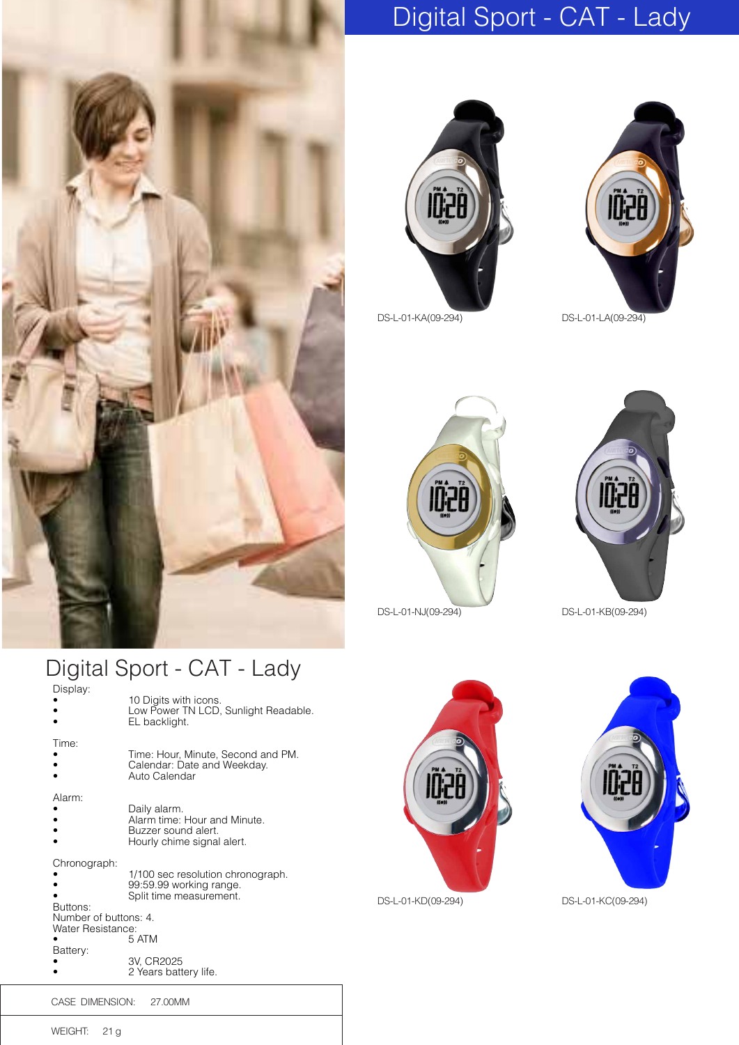

## Digital Sport - CAT - Lady





DS-L-01-KA(09-294) DS-L-01-LA(09-294)





## Digital Sport - CAT - Lady

| Display:                                                               | 10 Digits with icons.<br>Low Power TN LCD, Sunlight Readable.<br>EL backlight.                    |
|------------------------------------------------------------------------|---------------------------------------------------------------------------------------------------|
| Time:                                                                  | Time: Hour, Minute, Second and PM.<br>Calendar: Date and Weekday.<br>Auto Calendar                |
| Alarm:                                                                 | Daily alarm.<br>Alarm time: Hour and Minute.<br>Buzzer sound alert.<br>Hourly chime signal alert. |
| Chronograph:<br>Buttons:<br>Number of buttons: 4.<br>Water Resistance: | 1/100 sec resolution chronograph.<br>99:59.99 working range.<br>Split time measurement.<br>5 ATM  |
| Battery:                                                               | 3V, CR2025<br>2 Years battery life.                                                               |





DS-L-01-KD(09-294) DS-L-01-KC(09-294)

WEIGHT: 21 g

CASE DIMENSION: 27.00MM